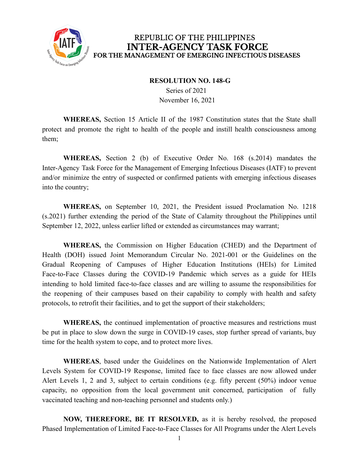

## REPUBLIC OF THE PHILIPPINES **INTER-AGENCY TASK FORCE** FOR THE MANAGEMENT OF EMERGING INFECTIOUS DISEASES

## **RESOLUTION NO. 148-G**

Series of 2021 November 16, 2021

**WHEREAS,** Section 15 Article II of the 1987 Constitution states that the State shall protect and promote the right to health of the people and instill health consciousness among them;

**WHEREAS,** Section 2 (b) of Executive Order No. 168 (s.2014) mandates the Inter-Agency Task Force for the Management of Emerging Infectious Diseases (IATF) to prevent and/or minimize the entry of suspected or confirmed patients with emerging infectious diseases into the country;

**WHEREAS,** on September 10, 2021, the President issued Proclamation No. 1218 (s.2021) further extending the period of the State of Calamity throughout the Philippines until September 12, 2022, unless earlier lifted or extended as circumstances may warrant;

**WHEREAS,** the Commission on Higher Education (CHED) and the Department of Health (DOH) issued Joint Memorandum Circular No. 2021-001 or the Guidelines on the Gradual Reopening of Campuses of Higher Education Institutions (HEIs) for Limited Face-to-Face Classes during the COVID-19 Pandemic which serves as a guide for HEIs intending to hold limited face-to-face classes and are willing to assume the responsibilities for the reopening of their campuses based on their capability to comply with health and safety protocols, to retrofit their facilities, and to get the support of their stakeholders;

**WHEREAS,** the continued implementation of proactive measures and restrictions must be put in place to slow down the surge in COVID-19 cases, stop further spread of variants, buy time for the health system to cope, and to protect more lives.

**WHEREAS**, based under the Guidelines on the Nationwide Implementation of Alert Levels System for COVID-19 Response, limited face to face classes are now allowed under Alert Levels 1, 2 and 3, subject to certain conditions (e.g. fifty percent (50%) indoor venue capacity, no opposition from the local government unit concerned, participation of fully vaccinated teaching and non-teaching personnel and students only.)

**NOW, THEREFORE, BE IT RESOLVED,** as it is hereby resolved, the proposed Phased Implementation of Limited Face-to-Face Classes for All Programs under the Alert Levels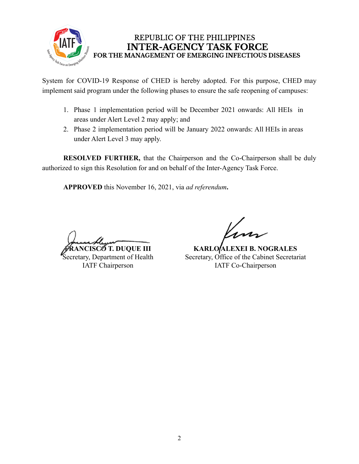

## REPUBLIC OF THE PHILIPPINES **INTER-AGENCY TASK FORCE** FOR THE MANAGEMENT OF EMERGING INFECTIOUS DISEASES

System for COVID-19 Response of CHED is hereby adopted. For this purpose, CHED may implement said program under the following phases to ensure the safe reopening of campuses:

- 1. Phase 1 implementation period will be December 2021 onwards: All HEIs in areas under Alert Level 2 may apply; and
- 2. Phase 2 implementation period will be January 2022 onwards: All HEIs in areas under Alert Level 3 may apply.

**RESOLVED FURTHER,** that the Chairperson and the Co-Chairperson shall be duly authorized to sign this Resolution for and on behalf of the Inter-Agency Task Force.

**APPROVED** this November 16, 2021, via *ad referendum***.**

**CST. DUQUE III** 

Secretary, Department of Health IATF Chairperson

**KARLO ALEXEI B. NOGRALES** Secretary, Office of the Cabinet Secretariat IATF Co-Chairperson